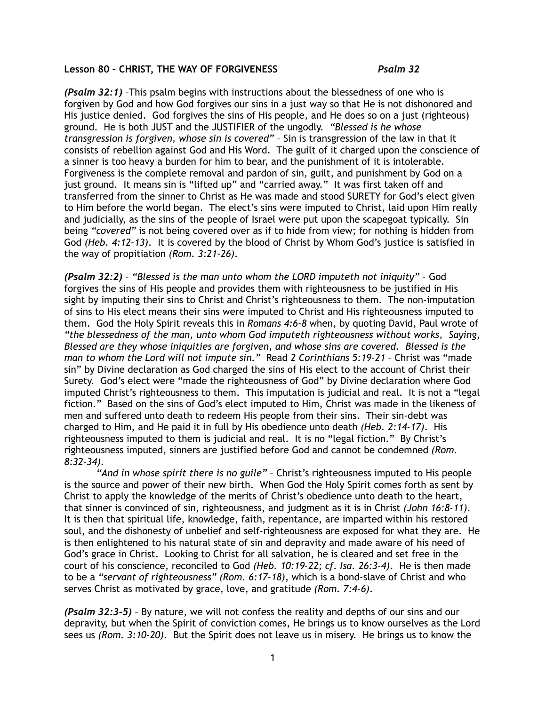## **Lesson 80 – CHRIST, THE WAY OF FORGIVENESS** *Psalm 32*

*(Psalm 32:1)* –This psalm begins with instructions about the blessedness of one who is forgiven by God and how God forgives our sins in a just way so that He is not dishonored and His justice denied. God forgives the sins of His people, and He does so on a just (righteous) ground. He is both JUST and the JUSTIFIER of the ungodly. *"Blessed is he whose transgression is forgiven, whose sin is covered"* – Sin is transgression of the law in that it consists of rebellion against God and His Word. The guilt of it charged upon the conscience of a sinner is too heavy a burden for him to bear, and the punishment of it is intolerable. Forgiveness is the complete removal and pardon of sin, guilt, and punishment by God on a just ground. It means sin is "lifted up" and "carried away." It was first taken off and transferred from the sinner to Christ as He was made and stood SURETY for God's elect given to Him before the world began. The elect's sins were imputed to Christ, laid upon Him really and judicially, as the sins of the people of Israel were put upon the scapegoat typically. Sin being *"covered"* is not being covered over as if to hide from view; for nothing is hidden from God *(Heb. 4:12-13)*. It is covered by the blood of Christ by Whom God's justice is satisfied in the way of propitiation *(Rom. 3:21-26)*.

*(Psalm 32:2)* – *"Blessed is the man unto whom the LORD imputeth not iniquity"* – God forgives the sins of His people and provides them with righteousness to be justified in His sight by imputing their sins to Christ and Christ's righteousness to them. The non-imputation of sins to His elect means their sins were imputed to Christ and His righteousness imputed to them. God the Holy Spirit reveals this in *Romans 4:6-8* when, by quoting David, Paul wrote of *"the blessedness of the man, unto whom God imputeth righteousness without works, Saying, Blessed are they whose iniquities are forgiven, and whose sins are covered. Blessed is the man to whom the Lord will not impute sin."* Read *2 Corinthians 5:19-21* – Christ was "made sin" by Divine declaration as God charged the sins of His elect to the account of Christ their Surety. God's elect were "made the righteousness of God" by Divine declaration where God imputed Christ's righteousness to them. This imputation is judicial and real. It is not a "legal fiction." Based on the sins of God's elect imputed to Him, Christ was made in the likeness of men and suffered unto death to redeem His people from their sins. Their sin-debt was charged to Him, and He paid it in full by His obedience unto death *(Heb. 2:14-17)*. His righteousness imputed to them is judicial and real. It is no "legal fiction." By Christ's righteousness imputed, sinners are justified before God and cannot be condemned *(Rom. 8:32-34)*.

*"And in whose spirit there is no guile"* – Christ's righteousness imputed to His people is the source and power of their new birth. When God the Holy Spirit comes forth as sent by Christ to apply the knowledge of the merits of Christ's obedience unto death to the heart, that sinner is convinced of sin, righteousness, and judgment as it is in Christ *(John 16:8-11).* It is then that spiritual life, knowledge, faith, repentance, are imparted within his restored soul, and the dishonesty of unbelief and self-righteousness are exposed for what they are. He is then enlightened to his natural state of sin and depravity and made aware of his need of God's grace in Christ. Looking to Christ for all salvation, he is cleared and set free in the court of his conscience, reconciled to God *(Heb. 10:19-22; cf. Isa. 26:3-4)*. He is then made to be a *"servant of righteousness" (Rom. 6:17-18)*, which is a bond-slave of Christ and who serves Christ as motivated by grace, love, and gratitude *(Rom. 7:4-6)*.

*(Psalm 32:3-5)* – By nature, we will not confess the reality and depths of our sins and our depravity, but when the Spirit of conviction comes, He brings us to know ourselves as the Lord sees us *(Rom. 3:10-20)*. But the Spirit does not leave us in misery. He brings us to know the